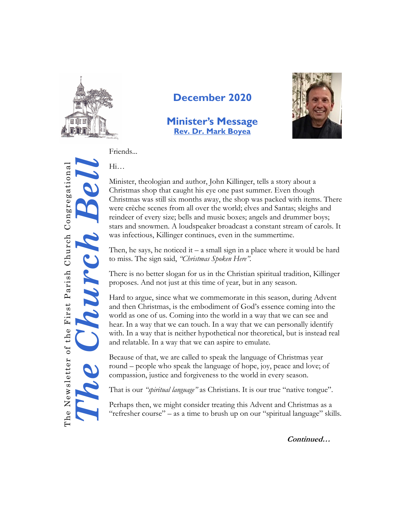

## **December 2020**

### **Minister's Message [Rev. Dr. Mark Boyea](mailto:mark.fpchurch@gmail.com)**



Friends...

Hi…

The Church Bell The Newsletter of the First Parish Church Congregational The Newsletter of the First Parish Church Congregational

Minister, theologian and author, John Killinger, tells a story about a Christmas shop that caught his eye one past summer. Even though Christmas was still six months away, the shop was packed with items. There were crèche scenes from all over the world; elves and Santas; sleighs and reindeer of every size; bells and music boxes; angels and drummer boys; stars and snowmen. A loudspeaker broadcast a constant stream of carols. It was infectious, Killinger continues, even in the summertime.

Then, he says, he noticed it – a small sign in a place where it would be hard to miss. The sign said, *"Christmas Spoken Here".*

There is no better slogan for us in the Christian spiritual tradition, Killinger proposes. And not just at this time of year, but in any season.

Hard to argue, since what we commemorate in this season, during Advent and then Christmas, is the embodiment of God's essence coming into the world as one of us. Coming into the world in a way that we can see and hear. In a way that we can touch. In a way that we can personally identify with. In a way that is neither hypothetical nor theoretical, but is instead real and relatable. In a way that we can aspire to emulate.

Because of that, we are called to speak the language of Christmas year round – people who speak the language of hope, joy, peace and love; of compassion, justice and forgiveness to the world in every season.

That is our *"spiritual language"* as Christians. It is our true "native tongue".

Perhaps then, we might consider treating this Advent and Christmas as a "refresher course" – as a time to brush up on our "spiritual language" skills.

**Continued…**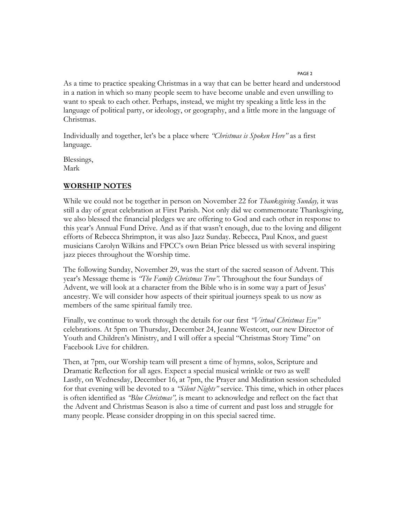PAGE 2

As a time to practice speaking Christmas in a way that can be better heard and understood in a nation in which so many people seem to have become unable and even unwilling to want to speak to each other. Perhaps, instead, we might try speaking a little less in the language of political party, or ideology, or geography, and a little more in the language of Christmas.

Individually and together, let's be a place where *"Christmas is Spoken Here"* as a first language.

Blessings, Mark

#### **WORSHIP NOTES**

While we could not be together in person on November 22 for *Thanksgiving Sunday,* it was still a day of great celebration at First Parish. Not only did we commemorate Thanksgiving, we also blessed the financial pledges we are offering to God and each other in response to this year's Annual Fund Drive. And as if that wasn't enough, due to the loving and diligent efforts of Rebecca Shrimpton, it was also Jazz Sunday. Rebecca, Paul Knox, and guest musicians Carolyn Wilkins and FPCC's own Brian Price blessed us with several inspiring jazz pieces throughout the Worship time.

The following Sunday, November 29, was the start of the sacred season of Advent. This year's Message theme is *"The Family Christmas Tree".* Throughout the four Sundays of Advent, we will look at a character from the Bible who is in some way a part of Jesus' ancestry. We will consider how aspects of their spiritual journeys speak to us now as members of the same spiritual family tree.

Finally, we continue to work through the details for our first *"Virtual Christmas Eve"*  celebrations. At 5pm on Thursday, December 24, Jeanne Westcott, our new Director of Youth and Children's Ministry, and I will offer a special "Christmas Story Time" on Facebook Live for children.

Then, at 7pm, our Worship team will present a time of hymns, solos, Scripture and Dramatic Reflection for all ages. Expect a special musical wrinkle or two as well! Lastly, on Wednesday, December 16, at 7pm, the Prayer and Meditation session scheduled for that evening will be devoted to a *"Silent Nights"* service. This time, which in other places is often identified as *"Blue Christmas",* is meant to acknowledge and reflect on the fact that the Advent and Christmas Season is also a time of current and past loss and struggle for many people. Please consider dropping in on this special sacred time.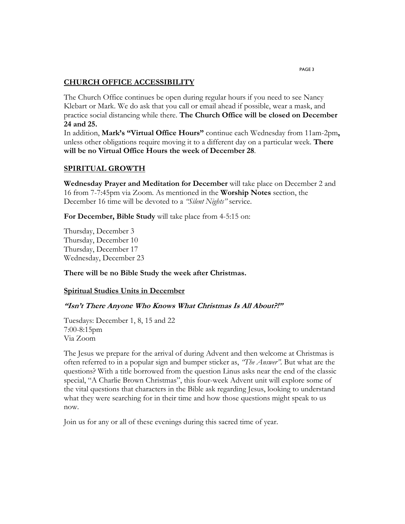#### **CHURCH OFFICE ACCESSIBILITY**

The Church Office continues be open during regular hours if you need to see Nancy Klebart or Mark. We do ask that you call or email ahead if possible, wear a mask, and practice social distancing while there. **The Church Office will be closed on December 24 and 25.**

In addition, **Mark's "Virtual Office Hours"** continue each Wednesday from 11am-2pm**,**  unless other obligations require moving it to a different day on a particular week. **There will be no Virtual Office Hours the week of December 28**.

### **SPIRITUAL GROWTH**

**Wednesday Prayer and Meditation for December** will take place on December 2 and 16 from 7-7:45pm via Zoom. As mentioned in the **Worship Notes** section, the December 16 time will be devoted to a *"Silent Nights"* service.

**For December, Bible Study** will take place from 4-5:15 on:

Thursday, December 3 Thursday, December 10 Thursday, December 17 Wednesday, December 23

**There will be no Bible Study the week after Christmas.**

#### **Spiritual Studies Units in December**

#### **"Isn't There Anyone Who Knows What Christmas Is All About?!"**

Tuesdays: December 1, 8, 15 and 22 7:00-8:15pm Via Zoom

The Jesus we prepare for the arrival of during Advent and then welcome at Christmas is often referred to in a popular sign and bumper sticker as, *"The Answer".* But what are the questions? With a title borrowed from the question Linus asks near the end of the classic special, "A Charlie Brown Christmas", this four-week Advent unit will explore some of the vital questions that characters in the Bible ask regarding Jesus, looking to understand what they were searching for in their time and how those questions might speak to us now.

Join us for any or all of these evenings during this sacred time of year.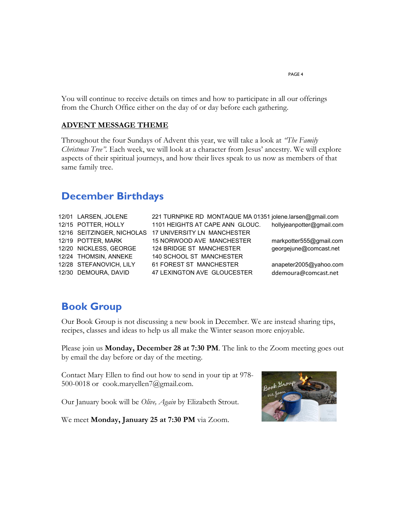You will continue to receive details on times and how to participate in all our offerings from the Church Office either on the day of or day before each gathering.

### **ADVENT MESSAGE THEME**

Throughout the four Sundays of Advent this year, we will take a look at *"The Family Christmas Tree".* Each week, we will look at a character from Jesus' ancestry. We will explore aspects of their spiritual journeys, and how their lives speak to us now as members of that same family tree.

### **December Birthdays**

- 
- 12/01 LARSEN, JOLENE 221 TURNPIKE RD MONTAQUE MA 01351 jolene.larsen@gmail.com 12/15 POTTER, HOLLY 1101 HEIGHTS AT CAPE ANN GLOUC. hollyjeanpotter@gmail.com 12/16 SEITZINGER, NICHOLAS 17 UNIVERSITY LN MANCHESTER 12/19 POTTER, MARK 15 NORWOOD AVE MANCHESTER markpotter555@gmail.com 12/20 NICKLESS, GEORGE 124 BRIDGE ST MANCHESTER georgejune@comcast.net 12/24 THOMSIN, ANNEKE 140 SCHOOL ST MANCHESTER 12/28 STEFANOVICH, LILY 61 FOREST ST MANCHESTER anapeter2005@yahoo.com 12/30 DEMOURA, DAVID 47 LEXINGTON AVE GLOUCESTER ddemoura@comcast.net

### **Book Group**

Our Book Group is not discussing a new book in December. We are instead sharing tips, recipes, classes and ideas to help us all make the Winter season more enjoyable.

Please join us **Monday, December 28 at 7:30 PM**. The link to the Zoom meeting goes out by email the day before or day of the meeting.

Contact Mary Ellen to find out how to send in your tip at 978- 500-0018 or cook.maryellen7@gmail.com.

Our January book will be *Olive, Again* by Elizabeth Strout.



We meet **Monday, January 25 at 7:30 PM** via Zoom.

PAGE 4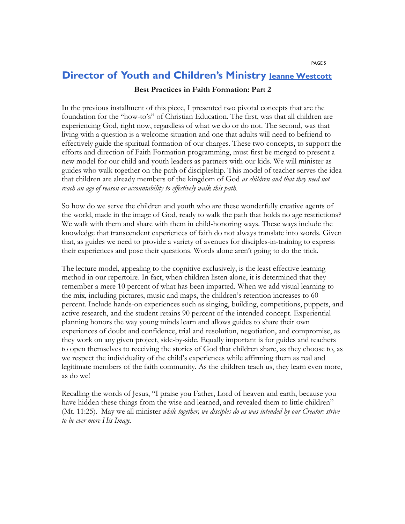# **Director of Youth and Children's Ministry [Jeanne Westcott](mailto:jeanne.fpchurch@gmail.com)**

### **Best Practices in Faith Formation: Part 2**

In the previous installment of this piece, I presented two pivotal concepts that are the foundation for the "how-to's" of Christian Education. The first, was that all children are experiencing God, right now, regardless of what we do or do not. The second, was that living with a question is a welcome situation and one that adults will need to befriend to effectively guide the spiritual formation of our charges. These two concepts, to support the efforts and direction of Faith Formation programming, must first be merged to present a new model for our child and youth leaders as partners with our kids. We will minister as guides who walk together on the path of discipleship. This model of teacher serves the idea that children are already members of the kingdom of God *as children and that they need not reach an age of reason or accountability to effectively walk this path.*

So how do we serve the children and youth who are these wonderfully creative agents of the world, made in the image of God, ready to walk the path that holds no age restrictions? We walk with them and share with them in child-honoring ways. These ways include the knowledge that transcendent experiences of faith do not always translate into words. Given that, as guides we need to provide a variety of avenues for disciples-in-training to express their experiences and pose their questions. Words alone aren't going to do the trick.

The lecture model, appealing to the cognitive exclusively, is the least effective learning method in our repertoire. In fact, when children listen alone, it is determined that they remember a mere 10 percent of what has been imparted. When we add visual learning to the mix, including pictures, music and maps, the children's retention increases to 60 percent. Include hands-on experiences such as singing, building, competitions, puppets, and active research, and the student retains 90 percent of the intended concept. Experiential planning honors the way young minds learn and allows guides to share their own experiences of doubt and confidence, trial and resolution, negotiation, and compromise, as they work on any given project, side-by-side. Equally important is for guides and teachers to open themselves to receiving the stories of God that children share, as they choose to, as we respect the individuality of the child's experiences while affirming them as real and legitimate members of the faith community. As the children teach us, they learn even more, as do we!

Recalling the words of Jesus, "I praise you Father, Lord of heaven and earth, because you have hidden these things from the wise and learned, and revealed them to little children" (Mt. 11:25). May we all minister *while together, we disciples do as was intended by our Creator: strive to be ever more His Image.*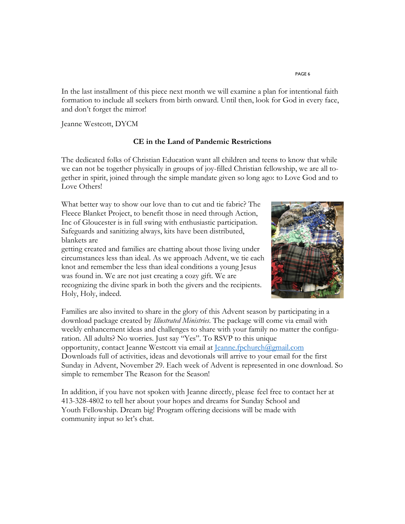In the last installment of this piece next month we will examine a plan for intentional faith formation to include all seekers from birth onward. Until then, look for God in every face, and don't forget the mirror!

Jeanne Westcott, DYCM

### **CE in the Land of Pandemic Restrictions**

The dedicated folks of Christian Education want all children and teens to know that while we can not be together physically in groups of joy-filled Christian fellowship, we are all together in spirit, joined through the simple mandate given so long ago: to Love God and to Love Others!

What better way to show our love than to cut and tie fabric? The Fleece Blanket Project, to benefit those in need through Action, Inc of Gloucester is in full swing with enthusiastic participation. Safeguards and sanitizing always, kits have been distributed, blankets are

getting created and families are chatting about those living under circumstances less than ideal. As we approach Advent, we tie each knot and remember the less than ideal conditions a young Jesus was found in. We are not just creating a cozy gift. We are recognizing the divine spark in both the givers and the recipients. Holy, Holy, indeed.



Families are also invited to share in the glory of this Advent season by participating in a download package created by *Illustrated Ministries*. The package will come via email with weekly enhancement ideas and challenges to share with your family no matter the configuration. All adults? No worries. Just say "Yes". To RSVP to this unique opportunity, contact Jeanne Westcott via email at [Jeanne.fpchurch@gmail.com](mailto:Jeanne.fpchurch@gmail.com) Downloads full of activities, ideas and devotionals will arrive to your email for the first Sunday in Advent, November 29. Each week of Advent is represented in one download. So simple to remember The Reason for the Season!

In addition, if you have not spoken with Jeanne directly, please feel free to contact her at 413-328-4802 to tell her about your hopes and dreams for Sunday School and Youth Fellowship. Dream big! Program offering decisions will be made with community input so let's chat.

#### PAGE 6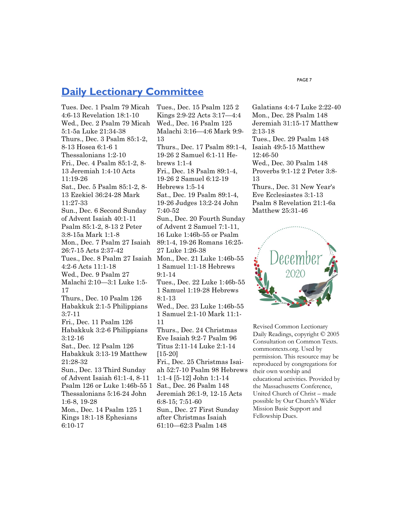### **[Daily Lectionary Committee](http://macucc.s3.amazonaws.com/A27DD8B21BD74077B0FCD5D18E45503D_lectionary-jan11.pdf)**

Tues. Dec. 1 Psalm 79 Micah 4:6-13 Revelation 18:1-10 Wed., Dec. 2 Psalm 79 Micah 5:1-5a Luke 21:34-38 Thurs., Dec. 3 Psalm 85:1-2, 8-13 Hosea 6:1-6 1 Thessalonians 1:2-10 Fri., Dec. 4 Psalm 85:1-2, 8- 13 Jeremiah 1:4-10 Acts 11:19-26 Sat., Dec. 5 Psalm 85:1-2, 8- 13 Ezekiel 36:24-28 Mark 11:27-33 Sun., Dec. 6 Second Sunday of Advent Isaiah 40:1-11 Psalm 85:1-2, 8-13 2 Peter 3:8-15a Mark 1:1-8 Mon., Dec. 7 Psalm 27 Isaiah 26:7-15 Acts 2:37-42 Tues., Dec. 8 Psalm 27 Isaiah 4:2-6 Acts 11:1-18 Wed., Dec. 9 Psalm 27 Malachi 2:10—3:1 Luke 1:5- 17 Thurs., Dec. 10 Psalm 126 Habakkuk 2:1-5 Philippians 3:7-11 Fri., Dec. 11 Psalm 126 Habakkuk 3:2-6 Philippians 3:12-16 Sat., Dec. 12 Psalm 126 Habakkuk 3:13-19 Matthew 21:28-32 Sun., Dec. 13 Third Sunday of Advent Isaiah 61:1-4, 8-11 Psalm 126 or Luke 1:46b-55 1 Thessalonians 5:16-24 John 1:6-8, 19-28 Mon., Dec. 14 Psalm 125 1 Kings 18:1-18 Ephesians 6:10-17

Tues., Dec. 15 Psalm 125 2 Kings 2:9-22 Acts 3:17—4:4 Wed., Dec. 16 Psalm 125 Malachi 3:16—4:6 Mark 9:9- 13 Thurs., Dec. 17 Psalm 89:1-4, 19-26 2 Samuel 6:1-11 Hebrews 1:1-4 Fri., Dec. 18 Psalm 89:1-4, 19-26 2 Samuel 6:12-19 Hebrews 1:5-14 Sat., Dec. 19 Psalm 89:1-4, 19-26 Judges 13:2-24 John 7:40-52 Sun., Dec. 20 Fourth Sunday of Advent 2 Samuel 7:1-11, 16 Luke 1:46b-55 or Psalm 89:1-4, 19-26 Romans 16:25- 27 Luke 1:26-38 Mon., Dec. 21 Luke 1:46b-55 1 Samuel 1:1-18 Hebrews 9:1-14 Tues., Dec. 22 Luke 1:46b-55 1 Samuel 1:19-28 Hebrews 8:1-13 Wed., Dec. 23 Luke 1:46b-55 1 Samuel 2:1-10 Mark 11:1- 11 Thurs., Dec. 24 Christmas Eve Isaiah 9:2-7 Psalm 96 Titus 2:11-14 Luke 2:1-14 [15-20] Fri., Dec. 25 Christmas Isaiah 52:7-10 Psalm 98 Hebrews 1:1-4 [5-12] John 1:1-14 Sat., Dec. 26 Psalm 148 Jeremiah 26:1-9, 12-15 Acts 6:8-15; 7:51-60 Sun., Dec. 27 First Sunday after Christmas Isaiah 61:10—62:3 Psalm 148

Galatians 4:4-7 Luke 2:22-40 Mon., Dec. 28 Psalm 148 Jeremiah 31:15-17 Matthew 2:13-18 Tues., Dec. 29 Psalm 148 Isaiah 49:5-15 Matthew 12:46-50 Wed., Dec. 30 Psalm 148 Proverbs 9:1-12 2 Peter 3:8- 13 Thurs., Dec. 31 New Year's Eve Ecclesiastes 3:1-13 Psalm 8 Revelation 21:1-6a Matthew 25:31-46



Revised Common Lectionary Daily Readings, copyright © 2005 Consultation on Common Texts. commontexts.org. Used by permission. This resource may be reproduced by congregations for their own worship and educational activities. Provided by the Massachusetts Conference, United Church of Christ – made possible by Our Church's Wider Mission Basic Support and Fellowship Dues.